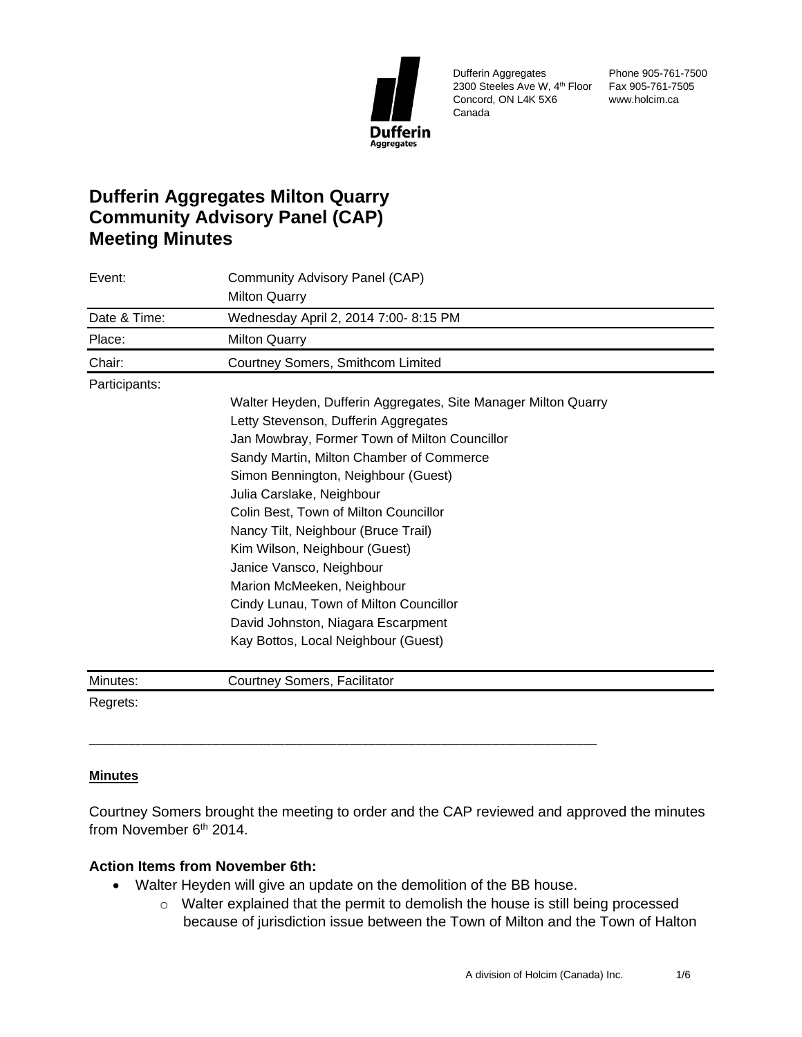

Dufferin Aggregates 2300 Steeles Ave W, 4th Floor Fax 905-761-7505 Concord, ON L4K 5X6 Canada

Phone 905-761-7500 www.holcim.ca

# **Dufferin Aggregates Milton Quarry Community Advisory Panel (CAP) Meeting Minutes**

| Event:        | Community Advisory Panel (CAP)                                 |
|---------------|----------------------------------------------------------------|
|               | <b>Milton Quarry</b>                                           |
| Date & Time:  | Wednesday April 2, 2014 7:00- 8:15 PM                          |
| Place:        | <b>Milton Quarry</b>                                           |
| Chair:        | Courtney Somers, Smithcom Limited                              |
| Participants: |                                                                |
|               | Walter Heyden, Dufferin Aggregates, Site Manager Milton Quarry |
|               | Letty Stevenson, Dufferin Aggregates                           |
|               | Jan Mowbray, Former Town of Milton Councillor                  |
|               | Sandy Martin, Milton Chamber of Commerce                       |
|               | Simon Bennington, Neighbour (Guest)                            |
|               | Julia Carslake, Neighbour                                      |
|               | Colin Best, Town of Milton Councillor                          |
|               | Nancy Tilt, Neighbour (Bruce Trail)                            |
|               | Kim Wilson, Neighbour (Guest)                                  |
|               | Janice Vansco, Neighbour                                       |
|               | Marion McMeeken, Neighbour                                     |
|               | Cindy Lunau, Town of Milton Councillor                         |
|               | David Johnston, Niagara Escarpment                             |
|               | Kay Bottos, Local Neighbour (Guest)                            |
| Minutes:      | Courtney Somers, Facilitator                                   |
| Regrets:      |                                                                |

#### **Minutes**

Courtney Somers brought the meeting to order and the CAP reviewed and approved the minutes from November  $6<sup>th</sup>$  2014.

#### **Action Items from November 6th:**

• Walter Heyden will give an update on the demolition of the BB house.

\_\_\_\_\_\_\_\_\_\_\_\_\_\_\_\_\_\_\_\_\_\_\_\_\_\_\_\_\_\_\_\_\_\_\_\_\_\_\_\_\_\_\_\_\_\_\_\_\_\_\_\_\_\_\_\_\_\_\_\_\_\_\_\_\_\_\_\_\_\_\_\_\_\_\_\_\_\_

o Walter explained that the permit to demolish the house is still being processed because of jurisdiction issue between the Town of Milton and the Town of Halton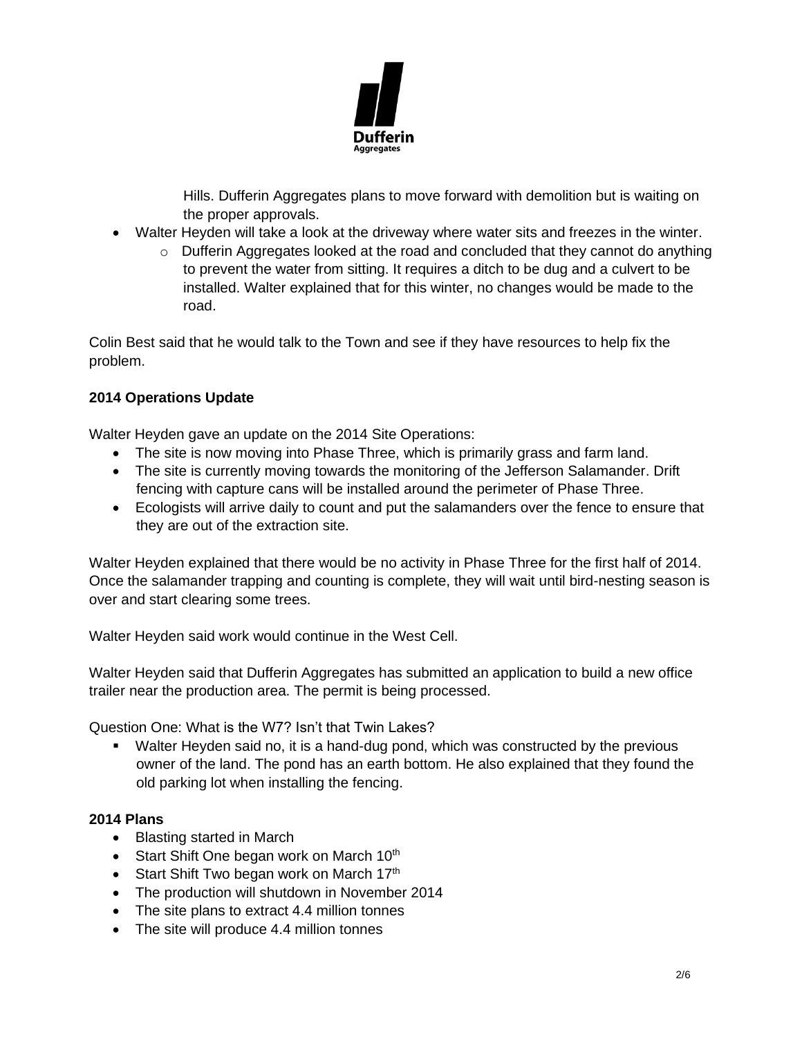

Hills. Dufferin Aggregates plans to move forward with demolition but is waiting on the proper approvals.

- Walter Heyden will take a look at the driveway where water sits and freezes in the winter.
	- $\circ$  Dufferin Aggregates looked at the road and concluded that they cannot do anything to prevent the water from sitting. It requires a ditch to be dug and a culvert to be installed. Walter explained that for this winter, no changes would be made to the road.

Colin Best said that he would talk to the Town and see if they have resources to help fix the problem.

# **2014 Operations Update**

Walter Heyden gave an update on the 2014 Site Operations:

- The site is now moving into Phase Three, which is primarily grass and farm land.
- The site is currently moving towards the monitoring of the Jefferson Salamander. Drift fencing with capture cans will be installed around the perimeter of Phase Three.
- Ecologists will arrive daily to count and put the salamanders over the fence to ensure that they are out of the extraction site.

Walter Heyden explained that there would be no activity in Phase Three for the first half of 2014. Once the salamander trapping and counting is complete, they will wait until bird-nesting season is over and start clearing some trees.

Walter Heyden said work would continue in the West Cell.

Walter Heyden said that Dufferin Aggregates has submitted an application to build a new office trailer near the production area. The permit is being processed.

Question One: What is the W7? Isn't that Twin Lakes?

■ Walter Heyden said no, it is a hand-dug pond, which was constructed by the previous owner of the land. The pond has an earth bottom. He also explained that they found the old parking lot when installing the fencing.

## **2014 Plans**

- Blasting started in March
- Start Shift One began work on March  $10<sup>th</sup>$
- Start Shift Two began work on March  $17<sup>th</sup>$
- The production will shutdown in November 2014
- The site plans to extract 4.4 million tonnes
- The site will produce 4.4 million tonnes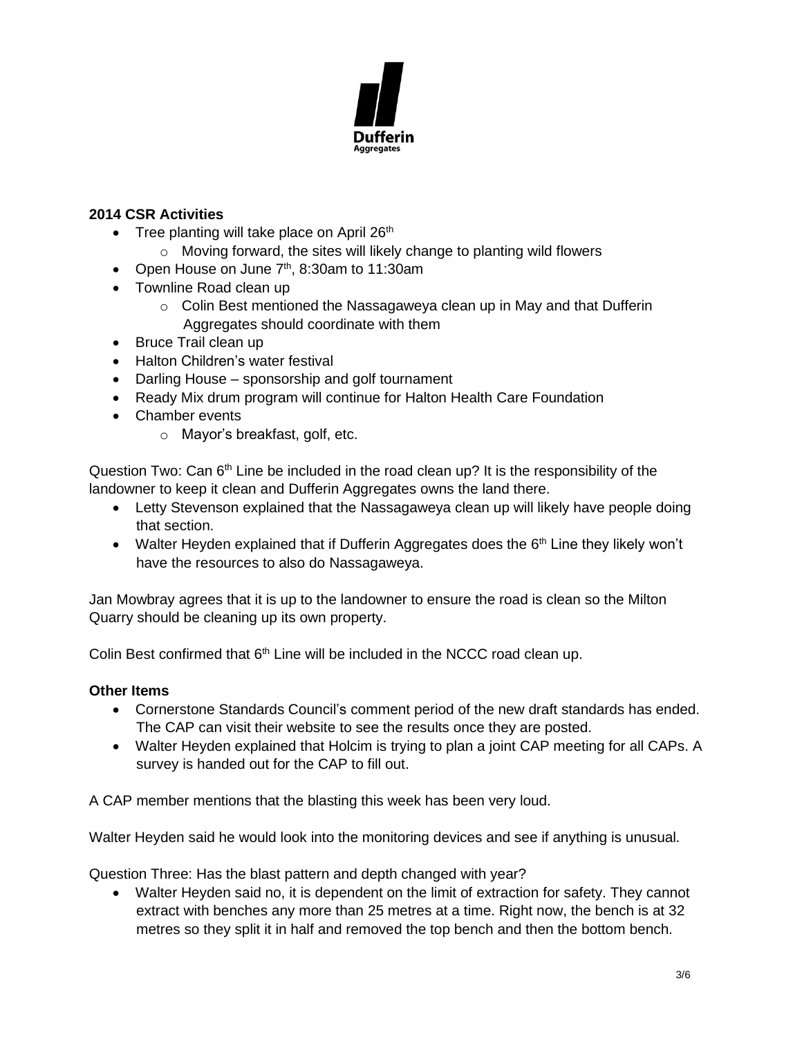

## **2014 CSR Activities**

- Tree planting will take place on April  $26<sup>th</sup>$ 
	- o Moving forward, the sites will likely change to planting wild flowers
- Open House on June  $7<sup>th</sup>$ , 8:30am to 11:30am
- Townline Road clean up
	- $\circ$  Colin Best mentioned the Nassagaweya clean up in May and that Dufferin Aggregates should coordinate with them
- Bruce Trail clean up
- Halton Children's water festival
- Darling House sponsorship and golf tournament
- Ready Mix drum program will continue for Halton Health Care Foundation
- Chamber events
	- o Mayor's breakfast, golf, etc.

Question Two: Can  $6<sup>th</sup>$  Line be included in the road clean up? It is the responsibility of the landowner to keep it clean and Dufferin Aggregates owns the land there.

- Letty Stevenson explained that the Nassagaweya clean up will likely have people doing that section.
- Walter Heyden explained that if Dufferin Aggregates does the  $6<sup>th</sup>$  Line they likely won't have the resources to also do Nassagaweya.

Jan Mowbray agrees that it is up to the landowner to ensure the road is clean so the Milton Quarry should be cleaning up its own property.

Colin Best confirmed that  $6<sup>th</sup>$  Line will be included in the NCCC road clean up.

## **Other Items**

- Cornerstone Standards Council's comment period of the new draft standards has ended. The CAP can visit their website to see the results once they are posted.
- Walter Heyden explained that Holcim is trying to plan a joint CAP meeting for all CAPs. A survey is handed out for the CAP to fill out.

A CAP member mentions that the blasting this week has been very loud.

Walter Heyden said he would look into the monitoring devices and see if anything is unusual.

Question Three: Has the blast pattern and depth changed with year?

• Walter Heyden said no, it is dependent on the limit of extraction for safety. They cannot extract with benches any more than 25 metres at a time. Right now, the bench is at 32 metres so they split it in half and removed the top bench and then the bottom bench.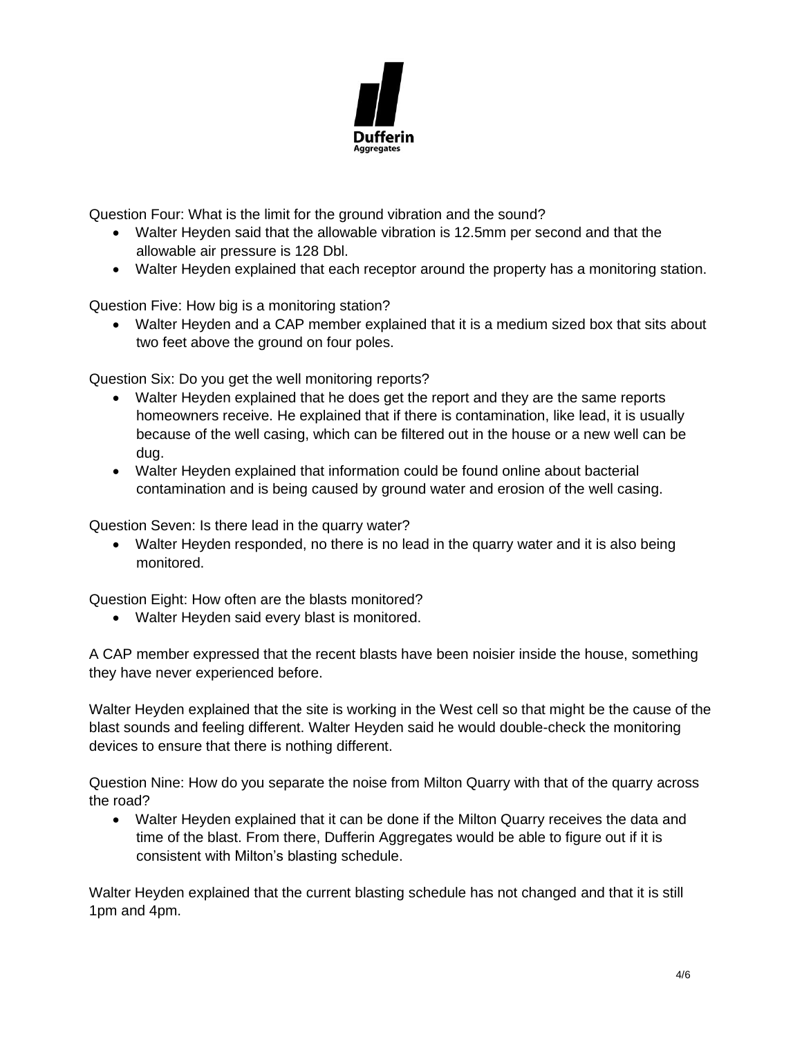

Question Four: What is the limit for the ground vibration and the sound?

- Walter Heyden said that the allowable vibration is 12.5mm per second and that the allowable air pressure is 128 Dbl.
- Walter Heyden explained that each receptor around the property has a monitoring station.

Question Five: How big is a monitoring station?

• Walter Heyden and a CAP member explained that it is a medium sized box that sits about two feet above the ground on four poles.

Question Six: Do you get the well monitoring reports?

- Walter Heyden explained that he does get the report and they are the same reports homeowners receive. He explained that if there is contamination, like lead, it is usually because of the well casing, which can be filtered out in the house or a new well can be dug.
- Walter Heyden explained that information could be found online about bacterial contamination and is being caused by ground water and erosion of the well casing.

Question Seven: Is there lead in the quarry water?

• Walter Heyden responded, no there is no lead in the quarry water and it is also being monitored.

Question Eight: How often are the blasts monitored?

• Walter Heyden said every blast is monitored.

A CAP member expressed that the recent blasts have been noisier inside the house, something they have never experienced before.

Walter Heyden explained that the site is working in the West cell so that might be the cause of the blast sounds and feeling different. Walter Heyden said he would double-check the monitoring devices to ensure that there is nothing different.

Question Nine: How do you separate the noise from Milton Quarry with that of the quarry across the road?

• Walter Heyden explained that it can be done if the Milton Quarry receives the data and time of the blast. From there, Dufferin Aggregates would be able to figure out if it is consistent with Milton's blasting schedule.

Walter Heyden explained that the current blasting schedule has not changed and that it is still 1pm and 4pm.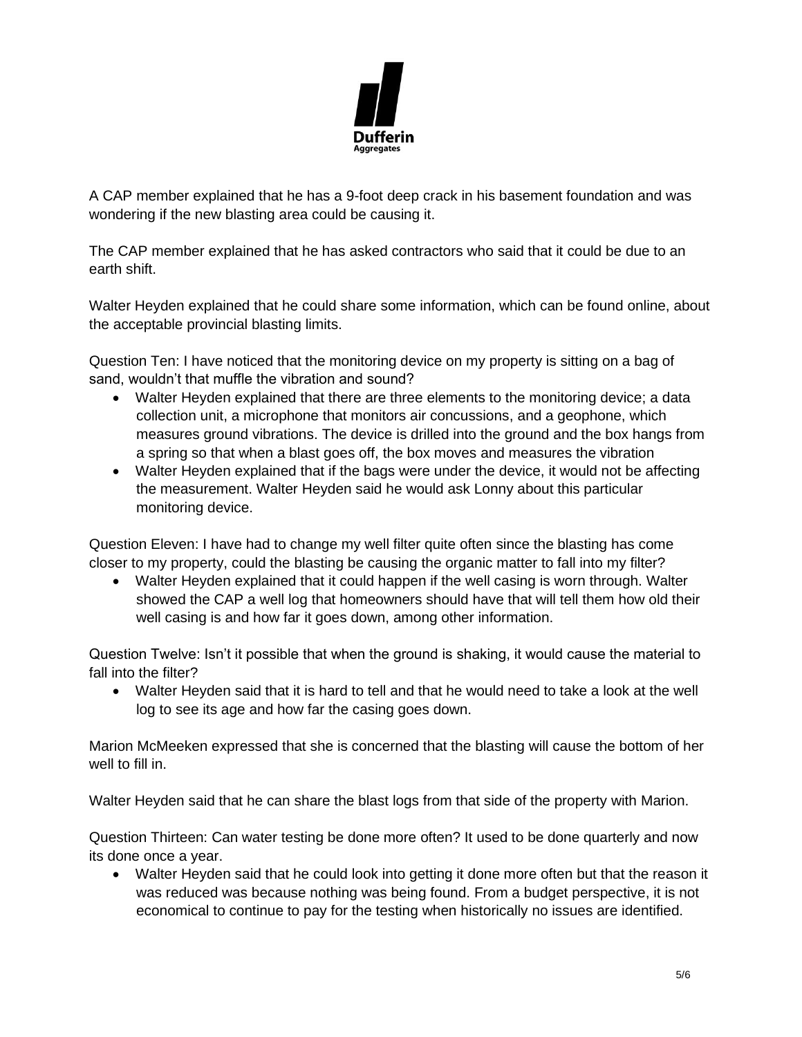

A CAP member explained that he has a 9-foot deep crack in his basement foundation and was wondering if the new blasting area could be causing it.

The CAP member explained that he has asked contractors who said that it could be due to an earth shift.

Walter Heyden explained that he could share some information, which can be found online, about the acceptable provincial blasting limits.

Question Ten: I have noticed that the monitoring device on my property is sitting on a bag of sand, wouldn't that muffle the vibration and sound?

- Walter Heyden explained that there are three elements to the monitoring device; a data collection unit, a microphone that monitors air concussions, and a geophone, which measures ground vibrations. The device is drilled into the ground and the box hangs from a spring so that when a blast goes off, the box moves and measures the vibration
- Walter Heyden explained that if the bags were under the device, it would not be affecting the measurement. Walter Heyden said he would ask Lonny about this particular monitoring device.

Question Eleven: I have had to change my well filter quite often since the blasting has come closer to my property, could the blasting be causing the organic matter to fall into my filter?

• Walter Heyden explained that it could happen if the well casing is worn through. Walter showed the CAP a well log that homeowners should have that will tell them how old their well casing is and how far it goes down, among other information.

Question Twelve: Isn't it possible that when the ground is shaking, it would cause the material to fall into the filter?

• Walter Heyden said that it is hard to tell and that he would need to take a look at the well log to see its age and how far the casing goes down.

Marion McMeeken expressed that she is concerned that the blasting will cause the bottom of her well to fill in.

Walter Heyden said that he can share the blast logs from that side of the property with Marion.

Question Thirteen: Can water testing be done more often? It used to be done quarterly and now its done once a year.

• Walter Heyden said that he could look into getting it done more often but that the reason it was reduced was because nothing was being found. From a budget perspective, it is not economical to continue to pay for the testing when historically no issues are identified.